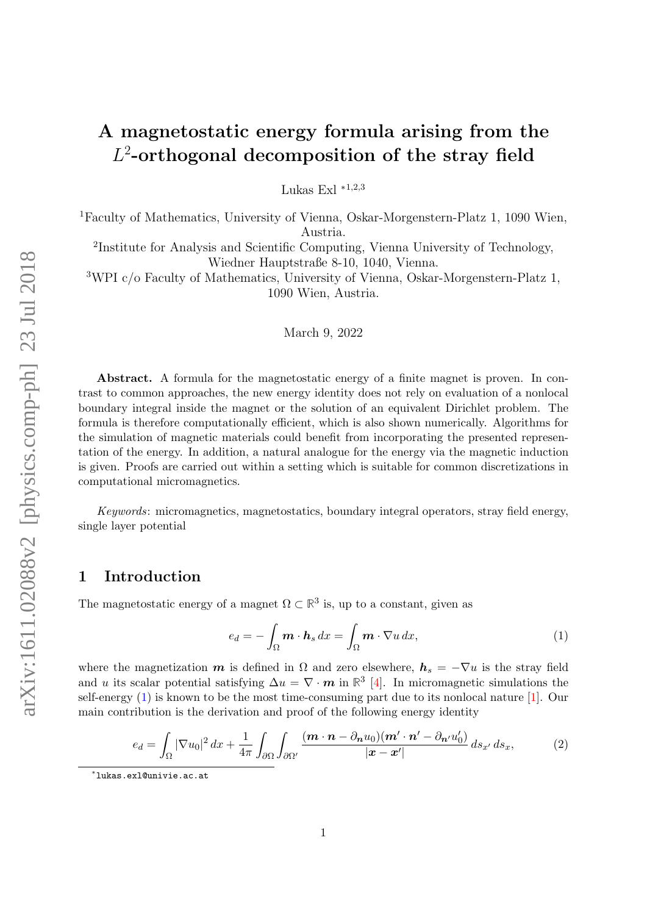# A magnetostatic energy formula arising from the  $L^2$ -orthogonal decomposition of the stray field

Lukas Exl  $*1,2,3$ 

<sup>1</sup>Faculty of Mathematics, University of Vienna, Oskar-Morgenstern-Platz 1, 1090 Wien, Austria.

2 Institute for Analysis and Scientific Computing, Vienna University of Technology, Wiedner Hauptstraße 8-10, 1040, Vienna.

<sup>3</sup>WPI c/o Faculty of Mathematics, University of Vienna, Oskar-Morgenstern-Platz 1, 1090 Wien, Austria.

March 9, 2022

Abstract. A formula for the magnetostatic energy of a finite magnet is proven. In contrast to common approaches, the new energy identity does not rely on evaluation of a nonlocal boundary integral inside the magnet or the solution of an equivalent Dirichlet problem. The formula is therefore computationally efficient, which is also shown numerically. Algorithms for the simulation of magnetic materials could benefit from incorporating the presented representation of the energy. In addition, a natural analogue for the energy via the magnetic induction is given. Proofs are carried out within a setting which is suitable for common discretizations in computational micromagnetics.

Keywords: micromagnetics, magnetostatics, boundary integral operators, stray field energy, single layer potential

## 1 Introduction

The magnetostatic energy of a magnet  $\Omega \subset \mathbb{R}^3$  is, up to a constant, given as

<span id="page-0-1"></span><span id="page-0-0"></span>
$$
e_d = -\int_{\Omega} \mathbf{m} \cdot \mathbf{h}_s \, dx = \int_{\Omega} \mathbf{m} \cdot \nabla u \, dx,\tag{1}
$$

where the magnetization  $m$  is defined in  $\Omega$  and zero elsewhere,  $h_s = -\nabla u$  is the stray field and u its scalar potential satisfying  $\Delta u = \nabla \cdot \mathbf{m}$  in  $\mathbb{R}^3$  [\[4\]](#page-8-0). In micromagnetic simulations the self-energy [\(1\)](#page-0-0) is known to be the most time-consuming part due to its nonlocal nature [\[1\]](#page-8-1). Our main contribution is the derivation and proof of the following energy identity

$$
e_d = \int_{\Omega} |\nabla u_0|^2 dx + \frac{1}{4\pi} \int_{\partial \Omega} \int_{\partial \Omega'} \frac{(\boldsymbol{m} \cdot \boldsymbol{n} - \partial_{\boldsymbol{n}} u_0)(\boldsymbol{m}' \cdot \boldsymbol{n}' - \partial_{\boldsymbol{n}'} u'_0)}{|\boldsymbol{x} - \boldsymbol{x}'|} ds_{x'} ds_x, \tag{2}
$$

<sup>∗</sup> lukas.exl@univie.ac.at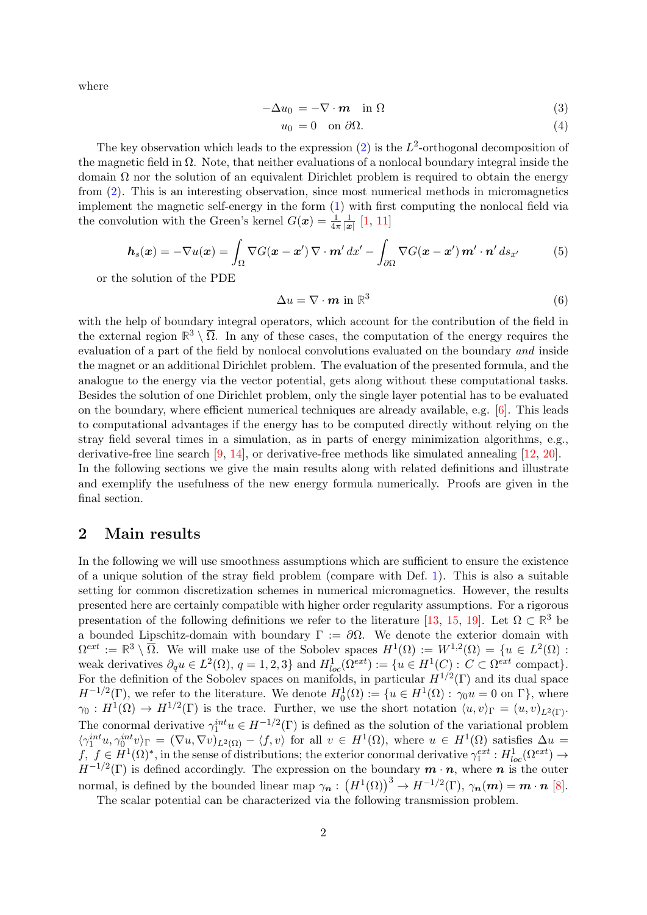where

$$
-\Delta u_0 = -\nabla \cdot \boldsymbol{m} \quad \text{in } \Omega \tag{3}
$$

$$
u_0 = 0 \quad \text{on } \partial \Omega. \tag{4}
$$

The key observation which leads to the expression  $(2)$  is the  $L^2$ -orthogonal decomposition of the magnetic field in  $\Omega$ . Note, that neither evaluations of a nonlocal boundary integral inside the domain  $\Omega$  nor the solution of an equivalent Dirichlet problem is required to obtain the energy from [\(2\)](#page-0-1). This is an interesting observation, since most numerical methods in micromagnetics implement the magnetic self-energy in the form [\(1\)](#page-0-0) with first computing the nonlocal field via the convolution with the Green's kernel  $G(\boldsymbol{x}) = \frac{1}{4\pi}$ 1  $\frac{1}{|x|}$  [\[1,](#page-8-1) [11\]](#page-8-2)

$$
\boldsymbol{h}_s(\boldsymbol{x}) = -\nabla u(\boldsymbol{x}) = \int_{\Omega} \nabla G(\boldsymbol{x} - \boldsymbol{x}') \, \nabla \cdot \boldsymbol{m}' \, dx' - \int_{\partial \Omega} \nabla G(\boldsymbol{x} - \boldsymbol{x}') \, \boldsymbol{m}' \cdot \boldsymbol{n}' \, ds_{x'}
$$
(5)

or the solution of the PDE

$$
\Delta u = \nabla \cdot \mathbf{m} \text{ in } \mathbb{R}^3 \tag{6}
$$

with the help of boundary integral operators, which account for the contribution of the field in the external region  $\mathbb{R}^3 \setminus \overline{\Omega}$ . In any of these cases, the computation of the energy requires the evaluation of a part of the field by nonlocal convolutions evaluated on the boundary and inside the magnet or an additional Dirichlet problem. The evaluation of the presented formula, and the analogue to the energy via the vector potential, gets along without these computational tasks. Besides the solution of one Dirichlet problem, only the single layer potential has to be evaluated on the boundary, where efficient numerical techniques are already available, e.g. [\[6\]](#page-8-3). This leads to computational advantages if the energy has to be computed directly without relying on the stray field several times in a simulation, as in parts of energy minimization algorithms, e.g., derivative-free line search [\[9,](#page-8-4) [14\]](#page-8-5), or derivative-free methods like simulated annealing [\[12,](#page-8-6) [20\]](#page-9-0). In the following sections we give the main results along with related definitions and illustrate and exemplify the usefulness of the new energy formula numerically. Proofs are given in the final section.

## 2 Main results

In the following we will use smoothness assumptions which are sufficient to ensure the existence of a unique solution of the stray field problem (compare with Def. [1\)](#page-2-0). This is also a suitable setting for common discretization schemes in numerical micromagnetics. However, the results presented here are certainly compatible with higher order regularity assumptions. For a rigorous presentation of the following definitions we refer to the literature [\[13,](#page-8-7) [15,](#page-8-8) [19\]](#page-9-1). Let  $\Omega \subset \mathbb{R}^3$  be a bounded Lipschitz-domain with boundary  $\Gamma := \partial \Omega$ . We denote the exterior domain with  $\Omega^{ext} := \mathbb{R}^3 \setminus \overline{\Omega}$ . We will make use of the Sobolev spaces  $H^1(\Omega) := W^{1,2}(\Omega) = \{u \in L^2(\Omega) :$ weak derivatives  $\partial_q u \in L^2(\Omega)$ ,  $q = 1, 2, 3$  and  $H^1_{loc}(\Omega^{ext}) := \{u \in H^1(C) : C \subset \Omega^{ext}$  compact. For the definition of the Sobolev spaces on manifolds, in particular  $H^{1/2}(\Gamma)$  and its dual space  $H^{-1/2}(\Gamma)$ , we refer to the literature. We denote  $H_0^1(\Omega) := \{u \in H^1(\Omega) : \gamma_0 u = 0 \text{ on } \Gamma\}$ , where  $\gamma_0: H^1(\Omega) \to H^{1/2}(\Gamma)$  is the trace. Further, we use the short notation  $\langle u, v \rangle_{\Gamma} = (u, v)_{L^2(\Gamma)}$ . The conormal derivative  $\gamma_1^{int} u \in H^{-1/2}(\Gamma)$  is defined as the solution of the variational problem  $\langle \gamma_1^{int}u, \gamma_0^{int}v \rangle_\Gamma = (\nabla u, \nabla v)_{L^2(\Omega)} - \langle f, v \rangle$  for all  $v \in H^1(\Omega)$ , where  $u \in H^1(\Omega)$  satisfies  $\Delta u =$  $f, f \in H^1(\Omega)^*$ , in the sense of distributions; the exterior conormal derivative  $\gamma_1^{ext}: H^1_{loc}(\Omega^{ext}) \to$  $H^{-1/2}(\Gamma)$  is defined accordingly. The expression on the boundary  $m \cdot n$ , where n is the outer normal, is defined by the bounded linear map  $\gamma_n: (H^1(\Omega))^3 \to H^{-1/2}(\Gamma)$ ,  $\gamma_n(m) = m \cdot n$  [\[8\]](#page-8-9).

The scalar potential can be characterized via the following transmission problem.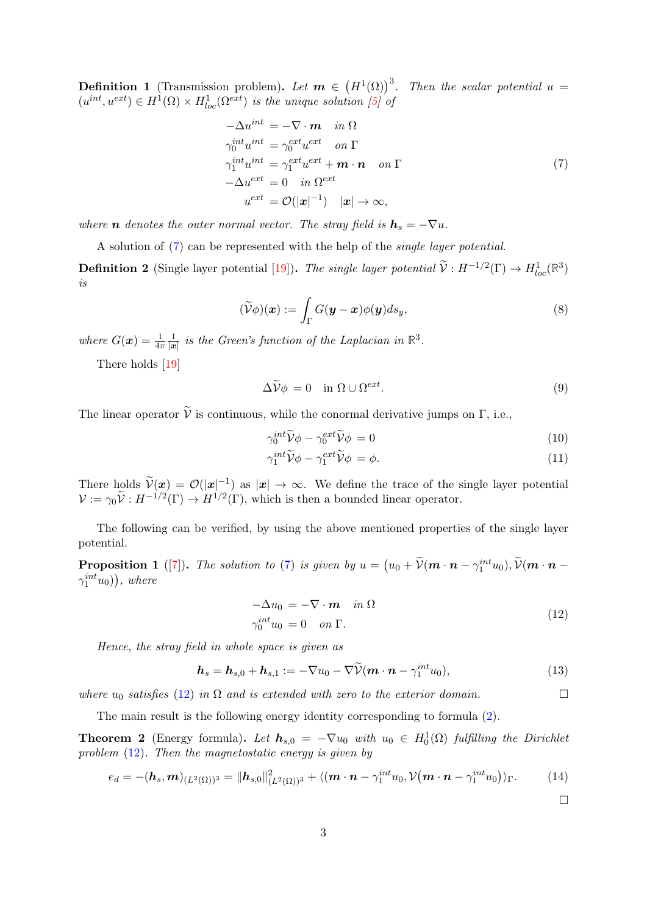<span id="page-2-0"></span>**Definition 1** (Transmission problem). Let  $m \in (H^1(\Omega))^3$ . Then the scalar potential  $u =$  $(u^{int}, u^{ext}) \in H^1(\Omega) \times H^1_{loc}(\Omega^{ext})$  is the unique solution [\[5\]](#page-8-10) of

<span id="page-2-1"></span>
$$
-\Delta u^{int} = -\nabla \cdot \boldsymbol{m} \quad in \ \Omega
$$
  
\n
$$
\gamma_0^{int} u^{int} = \gamma_0^{ext} u^{ext} \quad on \ \Gamma
$$
  
\n
$$
\gamma_1^{int} u^{int} = \gamma_1^{ext} u^{ext} + \boldsymbol{m} \cdot \boldsymbol{n} \quad on \ \Gamma
$$
  
\n
$$
-\Delta u^{ext} = 0 \quad in \ \Omega^{ext}
$$
  
\n
$$
u^{ext} = \mathcal{O}(|\boldsymbol{x}|^{-1}) \quad |\boldsymbol{x}| \to \infty,
$$
\n(7)

where **n** denotes the outer normal vector. The stray field is  $h_s = -\nabla u$ .

A solution of [\(7\)](#page-2-1) can be represented with the help of the single layer potential.

**Definition 2** (Single layer potential [\[19\]](#page-9-1)). The single layer potential  $\widetilde{V}: H^{-1/2}(\Gamma) \to H^1_{loc}(\mathbb{R}^3)$ is

$$
(\widetilde{\mathcal{V}}\phi)(\boldsymbol{x}) := \int_{\Gamma} G(\boldsymbol{y} - \boldsymbol{x})\phi(\boldsymbol{y})ds_y,
$$
\n(8)

where  $G(\boldsymbol{x}) = \frac{1}{4\pi}$ 1  $\frac{1}{|x|}$  is the Green's function of the Laplacian in  $\mathbb{R}^3$ .

There holds [\[19\]](#page-9-1)

$$
\Delta \widetilde{\mathcal{V}} \phi = 0 \quad \text{in } \Omega \cup \Omega^{ext}.
$$
\n(9)

The linear operator  $\tilde{V}$  is continuous, while the conormal derivative jumps on Γ, i.e.,

$$
\gamma_0^{int} \widetilde{\mathcal{V}} \phi - \gamma_0^{ext} \widetilde{\mathcal{V}} \phi = 0 \tag{10}
$$

$$
\gamma_1^{int} \widetilde{\mathcal{V}} \phi - \gamma_1^{ext} \widetilde{\mathcal{V}} \phi = \phi. \tag{11}
$$

There holds  $\widetilde{\mathcal{V}}(\mathbf{x}) = \mathcal{O}(|\mathbf{x}|^{-1})$  as  $|\mathbf{x}| \to \infty$ . We define the trace of the single layer potential  $\mathcal{V} := \gamma_0 \widetilde{\mathcal{V}} : H^{-1/2}(\Gamma) \to H^{1/2}(\Gamma)$ , which is then a bounded linear operator.

The following can be verified, by using the above mentioned properties of the single layer potential.

<span id="page-2-4"></span>**Proposition 1** ([\[7\]](#page-8-11)). The solution to [\(7\)](#page-2-1) is given by  $u = (u_0 + \tilde{\mathcal{V}}(m \cdot n - \gamma_1^{int} u_0), \tilde{\mathcal{V}}(m \cdot n - \gamma_1^{int} u_0))$  $\gamma_1^{int}u_0)$ ), where

<span id="page-2-2"></span>
$$
-\Delta u_0 = -\nabla \cdot \boldsymbol{m} \quad in \ \Omega
$$
  
\n
$$
\gamma_0^{int} u_0 = 0 \quad on \ \Gamma.
$$
\n(12)

Hence, the stray field in whole space is given as

$$
\boldsymbol{h}_s = \boldsymbol{h}_{s,0} + \boldsymbol{h}_{s,1} := -\nabla u_0 - \nabla \widetilde{\mathcal{V}}(\boldsymbol{m} \cdot \boldsymbol{n} - \gamma_1^{int} u_0), \qquad (13)
$$

where  $u_0$  satisfies [\(12\)](#page-2-2) in  $\Omega$  and is extended with zero to the exterior domain.

The main result is the following energy identity corresponding to formula [\(2\)](#page-0-1).

<span id="page-2-3"></span>**Theorem 2** (Energy formula). Let  $h_{s,0} = -\nabla u_0$  with  $u_0 \in H_0^1(\Omega)$  fulfilling the Dirichlet problem [\(12\)](#page-2-2). Then the magnetostatic energy is given by

$$
e_d = -(\mathbf{h}_s, \mathbf{m})_{(L^2(\Omega))^3} = ||\mathbf{h}_{s,0}||^2_{(L^2(\Omega))^3} + \langle (\mathbf{m} \cdot \mathbf{n} - \gamma_1^{int} u_0, \mathcal{V}(\mathbf{m} \cdot \mathbf{n} - \gamma_1^{int} u_0) \rangle_{\Gamma}.
$$
 (14)

<span id="page-2-6"></span><span id="page-2-5"></span> $\Box$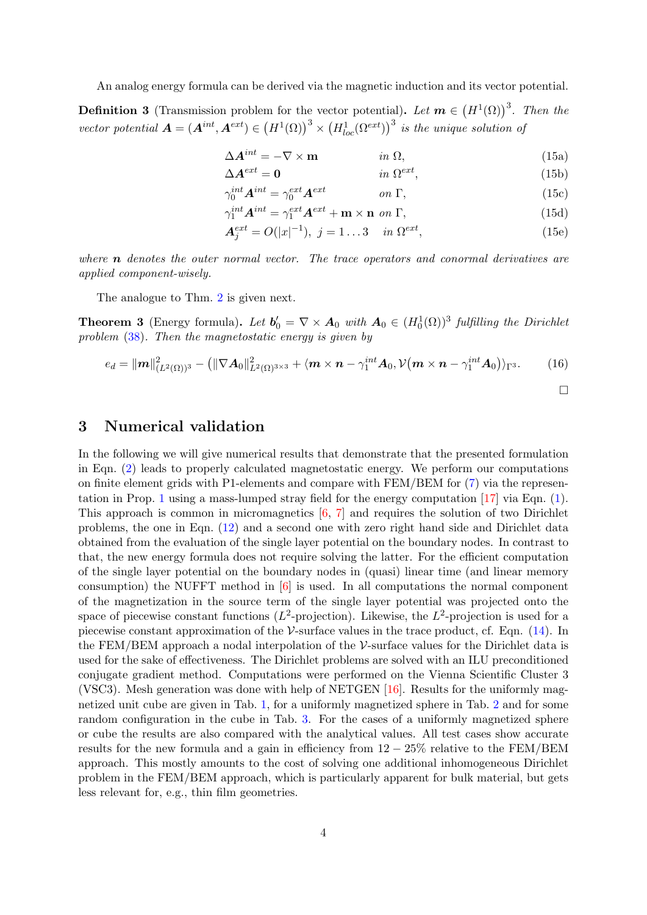An analog energy formula can be derived via the magnetic induction and its vector potential.

<span id="page-3-1"></span>**Definition 3** (Transmission problem for the vector potential). Let  $m \in (H^1(\Omega))^3$ . Then the vector potential  $\boldsymbol{A} = (\boldsymbol{A}^{int}, \boldsymbol{A}^{ext}) \in (H^1(\Omega))^3 \times (H^1_{loc}(\Omega^{ext}))^3$  is the unique solution of

$$
\Delta A^{int} = -\nabla \times \mathbf{m} \qquad in \ \Omega,
$$
 (15a)

$$
\Delta \mathbf{A}^{ext} = \mathbf{0} \qquad \qquad in \ \Omega^{ext}, \tag{15b}
$$

$$
\gamma_0^{int} A^{int} = \gamma_0^{ext} A^{ext} \qquad on \ \Gamma,
$$
\n(15c)

$$
\gamma_1^{int} \mathbf{A}^{int} = \gamma_1^{ext} \mathbf{A}^{ext} + \mathbf{m} \times \mathbf{n} \text{ on } \Gamma,
$$
\n(15d)

$$
A_j^{ext} = O(|x|^{-1}), \ j = 1...3 \quad in \ \Omega^{ext}, \tag{15e}
$$

 $\Box$ 

where  $\bf{n}$  denotes the outer normal vector. The trace operators and conormal derivatives are applied component-wisely.

The analogue to Thm. [2](#page-2-3) is given next.

<span id="page-3-0"></span>**Theorem 3** (Energy formula). Let  $b'_0 = \nabla \times A_0$  with  $A_0 \in (H_0^1(\Omega))^3$  fulfilling the Dirichlet problem [\(38\)](#page-7-0). Then the magnetostatic energy is given by

$$
e_d = ||\mathbf{m}||_{(L^2(\Omega))^3}^2 - (||\nabla \mathbf{A}_0||_{L^2(\Omega)^{3\times 3}}^2 + \langle \mathbf{m} \times \mathbf{n} - \gamma_1^{int} \mathbf{A}_0, \mathcal{V}(\mathbf{m} \times \mathbf{n} - \gamma_1^{int} \mathbf{A}_0) \rangle_{\Gamma^3}.
$$
 (16)

3 Numerical validation

In the following we will give numerical results that demonstrate that the presented formulation in Eqn. [\(2\)](#page-0-1) leads to properly calculated magnetostatic energy. We perform our computations on finite element grids with P1-elements and compare with FEM/BEM for [\(7\)](#page-2-1) via the representation in Prop. [1](#page-2-4) using a mass-lumped stray field for the energy computation [\[17\]](#page-8-12) via Eqn. [\(1\)](#page-0-0). This approach is common in micromagnetics [\[6,](#page-8-3) [7\]](#page-8-11) and requires the solution of two Dirichlet problems, the one in Eqn. [\(12\)](#page-2-2) and a second one with zero right hand side and Dirichlet data obtained from the evaluation of the single layer potential on the boundary nodes. In contrast to that, the new energy formula does not require solving the latter. For the efficient computation of the single layer potential on the boundary nodes in (quasi) linear time (and linear memory consumption) the NUFFT method in [\[6\]](#page-8-3) is used. In all computations the normal component of the magnetization in the source term of the single layer potential was projected onto the space of piecewise constant functions ( $L^2$ -projection). Likewise, the  $L^2$ -projection is used for a piecewise constant approximation of the  $\mathcal V$ -surface values in the trace product, cf. Eqn. [\(14\)](#page-2-5). In the FEM/BEM approach a nodal interpolation of the  $\mathcal V$ -surface values for the Dirichlet data is used for the sake of effectiveness. The Dirichlet problems are solved with an ILU preconditioned conjugate gradient method. Computations were performed on the Vienna Scientific Cluster 3 (VSC3). Mesh generation was done with help of NETGEN  $[16]$ . Results for the uniformly magnetized unit cube are given in Tab. [1,](#page-4-0) for a uniformly magnetized sphere in Tab. [2](#page-4-1) and for some random configuration in the cube in Tab. [3.](#page-5-0) For the cases of a uniformly magnetized sphere or cube the results are also compared with the analytical values. All test cases show accurate results for the new formula and a gain in efficiency from 12 − 25% relative to the FEM/BEM approach. This mostly amounts to the cost of solving one additional inhomogeneous Dirichlet problem in the FEM/BEM approach, which is particularly apparent for bulk material, but gets less relevant for, e.g., thin film geometries.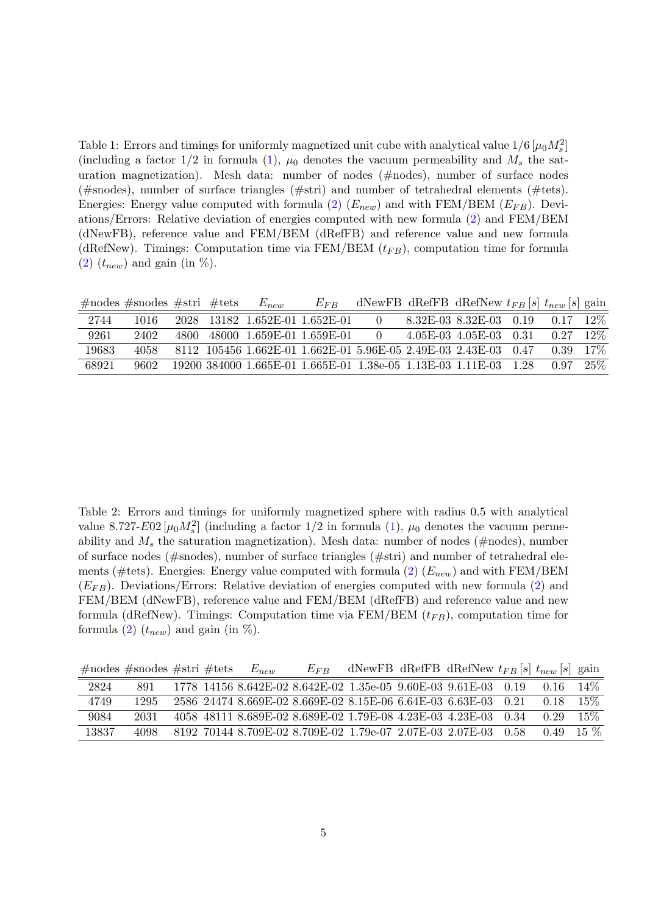<span id="page-4-0"></span>Table 1: Errors and timings for uniformly magnetized unit cube with analytical value  $1/6 \left[ \mu_0 M_s^2 \right]$ (including a factor  $1/2$  in formula [\(1\)](#page-0-0),  $\mu_0$  denotes the vacuum permeability and  $M_s$  the saturation magnetization). Mesh data: number of nodes (#nodes), number of surface nodes (#snodes), number of surface triangles (#stri) and number of tetrahedral elements (#tets). Energies: Energy value computed with formula [\(2\)](#page-0-1)  $(E_{new})$  and with FEM/BEM  $(E_{FB})$ . Deviations/Errors: Relative deviation of energies computed with new formula [\(2\)](#page-0-1) and FEM/BEM (dNewFB), reference value and FEM/BEM (dRefFB) and reference value and new formula (dRefNew). Timings: Computation time via FEM/BEM  $(t_{FB})$ , computation time for formula  $(2)$   $(t_{new})$  and gain (in %).

#nodes #snodes #stri #tets  $E_{new}$   $E_{FB}$  dNewFB dRefFB dRefNew  $t_{FB}[s]$   $t_{new}[s]$  gain

| 2744  | 1016 | 2028                                                        | 13182 1.652E-01 1.652E-01 |                     |  | 8.32E-03 8.32E-03     | 0.19 | 0.17 | $12\%$ |
|-------|------|-------------------------------------------------------------|---------------------------|---------------------|--|-----------------------|------|------|--------|
| 9261  | 2402 | 48000<br>4800.                                              |                           | 1.659E-01 1.659E-01 |  | $4.05E-03$ $4.05E-03$ | 0.31 | 0.27 | $12\%$ |
| 19683 | 4058 | 8112 105456 1.662E-01 1.662E-01 5.96E-05 2.49E-03 2.43E-03  |                           |                     |  |                       | 0.47 | 0.39 | $17\%$ |
| 68921 | 9602 | 19200 384000 1.665E-01 1.665E-01 1.38e-05 1.13E-03 1.11E-03 |                           |                     |  |                       | 1.28 | 0.97 | $25\%$ |

<span id="page-4-1"></span>Table 2: Errors and timings for uniformly magnetized sphere with radius 0.5 with analytical value 8.727-E02  $\mu_0 M_s^2$  (including a factor 1/2 in formula [\(1\)](#page-0-0),  $\mu_0$  denotes the vacuum permeability and  $M_s$  the saturation magnetization). Mesh data: number of nodes (#nodes), number of surface nodes (#snodes), number of surface triangles (#stri) and number of tetrahedral ele-ments (#tets). Energies: Energy value computed with formula [\(2\)](#page-0-1)  $(E_{new})$  and with FEM/BEM  $(E_{FB})$ . Deviations/Errors: Relative deviation of energies computed with new formula [\(2\)](#page-0-1) and FEM/BEM (dNewFB), reference value and FEM/BEM (dRefFB) and reference value and new formula (dRefNew). Timings: Computation time via FEM/BEM  $(t_{FB})$ , computation time for formula [\(2\)](#page-0-1)  $(t_{new})$  and gain (in %).

|       | $\#$ nodes $\#$ snodes $\#$ stri $\#$ tets |  | $E_{new}$                                                      | $E_{FR}$ |  | dNewFB dRefFB dRefNew $t_{FB}$ [s] $t_{new}$ [s] gain |      |        |
|-------|--------------------------------------------|--|----------------------------------------------------------------|----------|--|-------------------------------------------------------|------|--------|
| 2824  | 891                                        |  | 1778 14156 8.642E-02 8.642E-02 1.35e-05 9.60E-03 9.61E-03 0.19 |          |  |                                                       | 0.16 | $14\%$ |
| 4749  | 1295                                       |  | 2586 24474 8.669E-02 8.669E-02 8.15E-06 6.64E-03 6.63E-03 0.21 |          |  |                                                       | 0.18 | $15\%$ |
| 9084  | 2031                                       |  | 4058 48111 8.689E-02 8.689E-02 1.79E-08 4.23E-03 4.23E-03 0.34 |          |  |                                                       | 0.29 | $15\%$ |
| 13837 | 4098                                       |  | 8192 70144 8.709E-02 8.709E-02 1.79e-07 2.07E-03 2.07E-03 0.58 |          |  |                                                       | 0.49 | $15\%$ |
|       |                                            |  |                                                                |          |  |                                                       |      |        |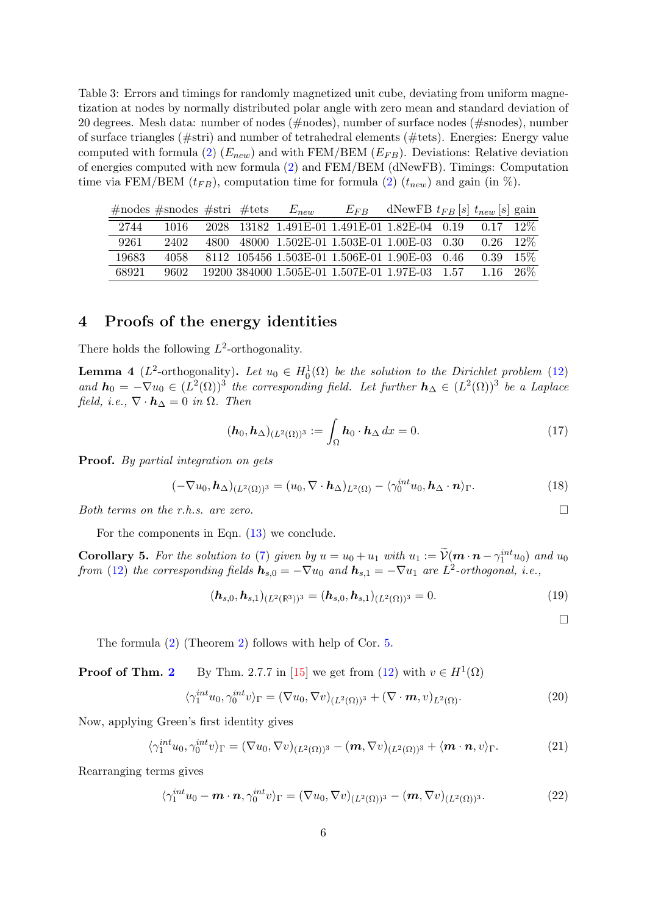<span id="page-5-0"></span>Table 3: Errors and timings for randomly magnetized unit cube, deviating from uniform magnetization at nodes by normally distributed polar angle with zero mean and standard deviation of 20 degrees. Mesh data: number of nodes (#nodes), number of surface nodes (#snodes), number of surface triangles (#stri) and number of tetrahedral elements (#tets). Energies: Energy value computed with formula [\(2\)](#page-0-1)  $(E_{new})$  and with FEM/BEM  $(E_{FB})$ . Deviations: Relative deviation of energies computed with new formula [\(2\)](#page-0-1) and FEM/BEM (dNewFB). Timings: Computation time via FEM/BEM  $(t_{FB})$ , computation time for formula [\(2\)](#page-0-1)  $(t_{new})$  and gain (in %).

|       | $\#$ nodes $\#$ snodes $\#$ stri $\#$ tets |  | $E_{new}$ | $E_{FR}$                                       | dNewFB $t_{FB}$ [s] $t_{new}$ [s] gain |                   |        |
|-------|--------------------------------------------|--|-----------|------------------------------------------------|----------------------------------------|-------------------|--------|
| 2744  | 1016                                       |  |           | 2028 13182 1.491E-01 1.491E-01 1.82E-04 0.19   |                                        | 0.17              | $12\%$ |
| 9261  | 2402                                       |  |           | 4800 48000 1.502E-01 1.503E-01 1.00E-03 0.30   |                                        | 0.26              | $12\%$ |
| 19683 | 4058                                       |  |           | 8112 105456 1.503E-01 1.506E-01 1.90E-03 0.46  |                                        | 0.39              | $15\%$ |
| 68921 | 9602                                       |  |           | 19200 384000 1.505E-01 1.507E-01 1.97E-03 1.57 |                                        | $1.16 \quad 26\%$ |        |

## 4 Proofs of the energy identities

There holds the following  $L^2$ -orthogonality.

**Lemma 4** ( $L^2$ -orthogonality). Let  $u_0 \in H_0^1(\Omega)$  be the solution to the Dirichlet problem [\(12\)](#page-2-2) and  $h_0 = -\nabla u_0 \in (L^2(\Omega))^3$  the corresponding field. Let further  $h_\Delta \in (L^2(\Omega))^3$  be a Laplace field, i.e.,  $\nabla \cdot \mathbf{h}_{\Delta} = 0$  in  $\Omega$ . Then

$$
(\mathbf{h}_0, \mathbf{h}_{\Delta})_{(L^2(\Omega))^3} := \int_{\Omega} \mathbf{h}_0 \cdot \mathbf{h}_{\Delta} dx = 0.
$$
 (17)

Proof. By partial integration on gets

$$
(-\nabla u_0, \mathbf{h}_{\Delta})_{(L^2(\Omega))^3} = (u_0, \nabla \cdot \mathbf{h}_{\Delta})_{L^2(\Omega)} - \langle \gamma_0^{int} u_0, \mathbf{h}_{\Delta} \cdot \mathbf{n} \rangle_{\Gamma}.
$$
 (18)

Both terms on the r.h.s. are zero.  $\Box$ 

For the components in Eqn.  $(13)$  we conclude.

<span id="page-5-1"></span>**Corollary 5.** For the solution to [\(7\)](#page-2-1) given by  $u = u_0 + u_1$  with  $u_1 := \widetilde{\mathcal{V}}(\mathbf{m} \cdot \mathbf{n} - \gamma_1^{int} u_0)$  and  $u_0$ from [\(12\)](#page-2-2) the corresponding fields  $h_{s,0} = -\nabla u_0$  and  $h_{s,1} = -\nabla u_1$  are  $L^2$ -orthogonal, i.e.,

$$
(\mathbf{h}_{s,0}, \mathbf{h}_{s,1})_{(L^2(\mathbb{R}^3))^3} = (\mathbf{h}_{s,0}, \mathbf{h}_{s,1})_{(L^2(\Omega))^3} = 0.
$$
\n(19)

 $\Box$ 

The formula [\(2\)](#page-0-1) (Theorem [2\)](#page-2-3) follows with help of Cor. [5.](#page-5-1)

**Proof of Thm. [2](#page-2-3)** By Thm. 2.7.7 in [\[15\]](#page-8-8) we get from [\(12\)](#page-2-2) with  $v \in H^1(\Omega)$ 

$$
\langle \gamma_1^{int} u_0, \gamma_0^{int} v \rangle_{\Gamma} = (\nabla u_0, \nabla v)_{(L^2(\Omega))^3} + (\nabla \cdot \boldsymbol{m}, v)_{L^2(\Omega)}.
$$
 (20)

Now, applying Green's first identity gives

$$
\langle \gamma_1^{int} u_0, \gamma_0^{int} v \rangle_{\Gamma} = (\nabla u_0, \nabla v)_{(L^2(\Omega))^3} - (\boldsymbol{m}, \nabla v)_{(L^2(\Omega))^3} + \langle \boldsymbol{m} \cdot \boldsymbol{n}, v \rangle_{\Gamma}. \tag{21}
$$

Rearranging terms gives

$$
\langle \gamma_1^{int} u_0 - \boldsymbol{m} \cdot \boldsymbol{n}, \gamma_0^{int} v \rangle_{\Gamma} = (\nabla u_0, \nabla v)_{(L^2(\Omega))^3} - (\boldsymbol{m}, \nabla v)_{(L^2(\Omega))^3}.
$$
 (22)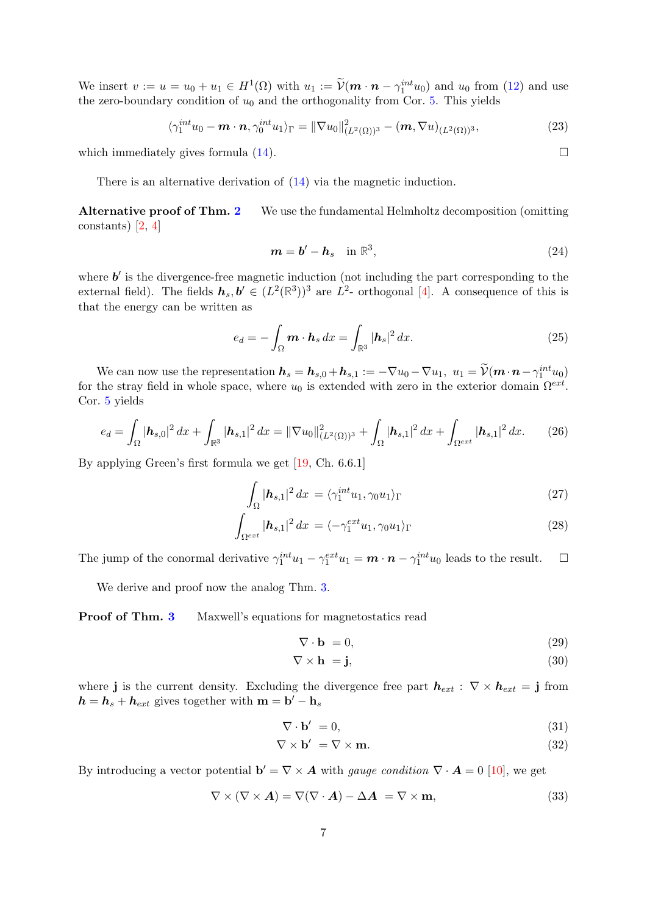We insert  $v := u = u_0 + u_1 \in H^1(\Omega)$  with  $u_1 := \widetilde{\mathcal{V}}(m \cdot n - \gamma_1^{int} u_0)$  and  $u_0$  from [\(12\)](#page-2-2) and use the zero-boundary condition of  $u_0$  and the orthogonality from Cor. [5.](#page-5-1) This yields

$$
\langle \gamma_1^{int} u_0 - \boldsymbol{m} \cdot \boldsymbol{n}, \gamma_0^{int} u_1 \rangle_{\Gamma} = ||\nabla u_0||^2_{(L^2(\Omega))^3} - (\boldsymbol{m}, \nabla u)_{(L^2(\Omega))^3},
$$
\n(23)

which immediately gives formula  $(14)$ .

There is an alternative derivation of [\(14\)](#page-2-5) via the magnetic induction.

Alternative proof of Thm. [2](#page-2-3) We use the fundamental Helmholtz decomposition (omitting constants) [\[2,](#page-8-14) [4\]](#page-8-0)

<span id="page-6-0"></span>
$$
m = b' - h_s \quad \text{in } \mathbb{R}^3,
$$
\n<sup>(24)</sup>

where  $b'$  is the divergence-free magnetic induction (not including the part corresponding to the external field). The fields  $h_s, b' \in (L^2(\mathbb{R}^3))^3$  are  $L^2$ - orthogonal [\[4\]](#page-8-0). A consequence of this is that the energy can be written as

$$
e_d = -\int_{\Omega} \mathbf{m} \cdot \mathbf{h}_s \, dx = \int_{\mathbb{R}^3} |\mathbf{h}_s|^2 \, dx. \tag{25}
$$

We can now use the representation  $h_s = h_{s,0} + h_{s,1} := -\nabla u_0 - \nabla u_1, u_1 = \tilde{\mathcal{V}}(\mathbf{m} \cdot \mathbf{n} - \gamma_1^{int} u_0)$ for the stray field in whole space, where  $u_0$  is extended with zero in the exterior domain  $\Omega^{ext}$ . Cor. [5](#page-5-1) yields

$$
e_d = \int_{\Omega} |\mathbf{h}_{s,0}|^2 dx + \int_{\mathbb{R}^3} |\mathbf{h}_{s,1}|^2 dx = ||\nabla u_0||^2_{(L^2(\Omega))^3} + \int_{\Omega} |\mathbf{h}_{s,1}|^2 dx + \int_{\Omega^{ext}} |\mathbf{h}_{s,1}|^2 dx. \tag{26}
$$

By applying Green's first formula we get [\[19,](#page-9-1) Ch. 6.6.1]

$$
\int_{\Omega} |\mathbf{h}_{s,1}|^2 dx = \langle \gamma_1^{int} u_1, \gamma_0 u_1 \rangle_{\Gamma} \tag{27}
$$

$$
\int_{\Omega^{ext}} |\mathbf{h}_{s,1}|^2 dx = \langle -\gamma_1^{ext} u_1, \gamma_0 u_1 \rangle_{\Gamma} \tag{28}
$$

The jump of the conormal derivative  $\gamma_1^{int} u_1 - \gamma_1^{ext} u_1 = \mathbf{m} \cdot \mathbf{n} - \gamma_1^{int} u_0$  leads to the result.  $\Box$ 

We derive and proof now the analog Thm. [3.](#page-3-0)

#### Proof of Thm. [3](#page-3-0) Maxwell's equations for magnetostatics read

$$
\nabla \cdot \mathbf{b} = 0,\tag{29}
$$

$$
\nabla \times \mathbf{h} = \mathbf{j},\tag{30}
$$

where j is the current density. Excluding the divergence free part  $h_{ext}$ :  $\nabla \times h_{ext} = j$  from  $h = h_s + h_{ext}$  gives together with  $m = b' - h_s$ 

$$
\nabla \cdot \mathbf{b}' = 0,\tag{31}
$$

$$
\nabla \times \mathbf{b}' = \nabla \times \mathbf{m}.\tag{32}
$$

By introducing a vector potential  $\mathbf{b}' = \nabla \times \mathbf{A}$  with gauge condition  $\nabla \cdot \mathbf{A} = 0$  [\[10\]](#page-8-15), we get

$$
\nabla \times (\nabla \times \mathbf{A}) = \nabla (\nabla \cdot \mathbf{A}) - \Delta \mathbf{A} = \nabla \times \mathbf{m},
$$
\n(33)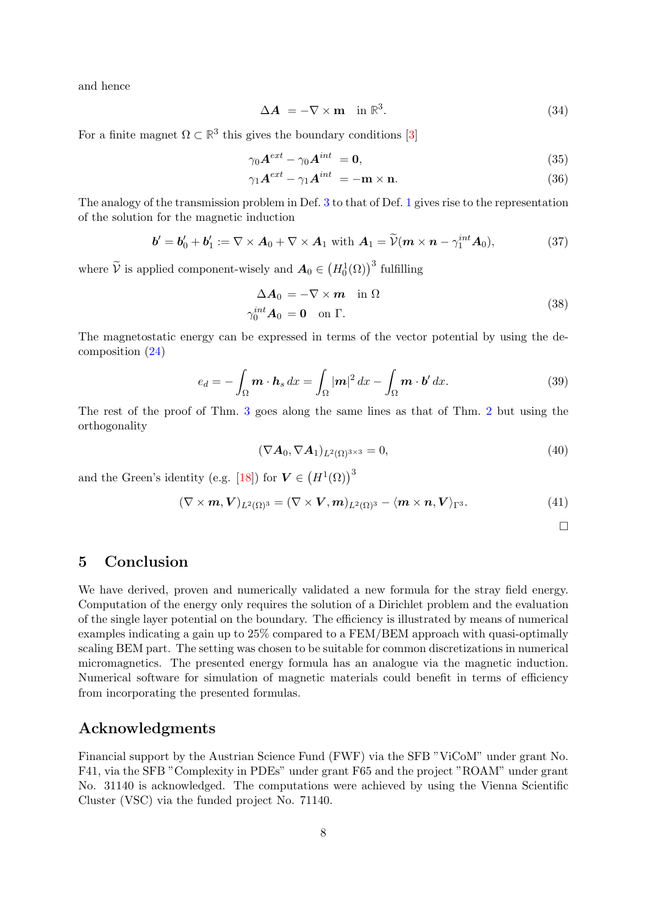and hence

$$
\Delta A = -\nabla \times \mathbf{m} \quad \text{in } \mathbb{R}^3. \tag{34}
$$

For a finite magnet  $\Omega \subset \mathbb{R}^3$  this gives the boundary conditions [\[3\]](#page-8-16)

$$
\gamma_0 \mathbf{A}^{ext} - \gamma_0 \mathbf{A}^{int} = \mathbf{0},\tag{35}
$$

$$
\gamma_1 \mathbf{A}^{ext} - \gamma_1 \mathbf{A}^{int} = -\mathbf{m} \times \mathbf{n}.\tag{36}
$$

The analogy of the transmission problem in Def. [3](#page-3-1) to that of Def. [1](#page-2-0) gives rise to the representation of the solution for the magnetic induction

$$
\boldsymbol{b}' = \boldsymbol{b}'_0 + \boldsymbol{b}'_1 := \nabla \times \boldsymbol{A}_0 + \nabla \times \boldsymbol{A}_1 \text{ with } \boldsymbol{A}_1 = \widetilde{\mathcal{V}}(\boldsymbol{m} \times \boldsymbol{n} - \gamma_1^{int} \boldsymbol{A}_0), \tag{37}
$$

where  $\widetilde{\mathcal{V}}$  is applied component-wisely and  $\mathbf{A}_0 \in (H_0^1(\Omega))^3$  fulfilling

<span id="page-7-0"></span>
$$
\Delta A_0 = -\nabla \times \boldsymbol{m} \quad \text{in } \Omega
$$
  
\n
$$
\gamma_0^{int} A_0 = \mathbf{0} \quad \text{on } \Gamma.
$$
\n(38)

The magnetostatic energy can be expressed in terms of the vector potential by using the decomposition [\(24\)](#page-6-0)

$$
e_d = -\int_{\Omega} \mathbf{m} \cdot \mathbf{h}_s \, dx = \int_{\Omega} |\mathbf{m}|^2 \, dx - \int_{\Omega} \mathbf{m} \cdot \mathbf{b}' \, dx. \tag{39}
$$

The rest of the proof of Thm. [3](#page-3-0) goes along the same lines as that of Thm. [2](#page-2-3) but using the orthogonality

$$
(\nabla \mathbf{A}_0, \nabla \mathbf{A}_1)_{L^2(\Omega)^{3 \times 3}} = 0,\tag{40}
$$

and the Green's identity (e.g. [\[18\]](#page-8-17)) for  $V \in (H^1(\Omega))^3$ 

$$
(\nabla \times \mathbf{m}, \mathbf{V})_{L^2(\Omega)^3} = (\nabla \times \mathbf{V}, \mathbf{m})_{L^2(\Omega)^3} - \langle \mathbf{m} \times \mathbf{n}, \mathbf{V} \rangle_{\Gamma^3}.
$$
 (41)

 $\Box$ 

## 5 Conclusion

We have derived, proven and numerically validated a new formula for the stray field energy. Computation of the energy only requires the solution of a Dirichlet problem and the evaluation of the single layer potential on the boundary. The efficiency is illustrated by means of numerical examples indicating a gain up to 25% compared to a FEM/BEM approach with quasi-optimally scaling BEM part. The setting was chosen to be suitable for common discretizations in numerical micromagnetics. The presented energy formula has an analogue via the magnetic induction. Numerical software for simulation of magnetic materials could benefit in terms of efficiency from incorporating the presented formulas.

## Acknowledgments

Financial support by the Austrian Science Fund (FWF) via the SFB "ViCoM" under grant No. F41, via the SFB "Complexity in PDEs" under grant F65 and the project "ROAM" under grant No. 31140 is acknowledged. The computations were achieved by using the Vienna Scientific Cluster (VSC) via the funded project No. 71140.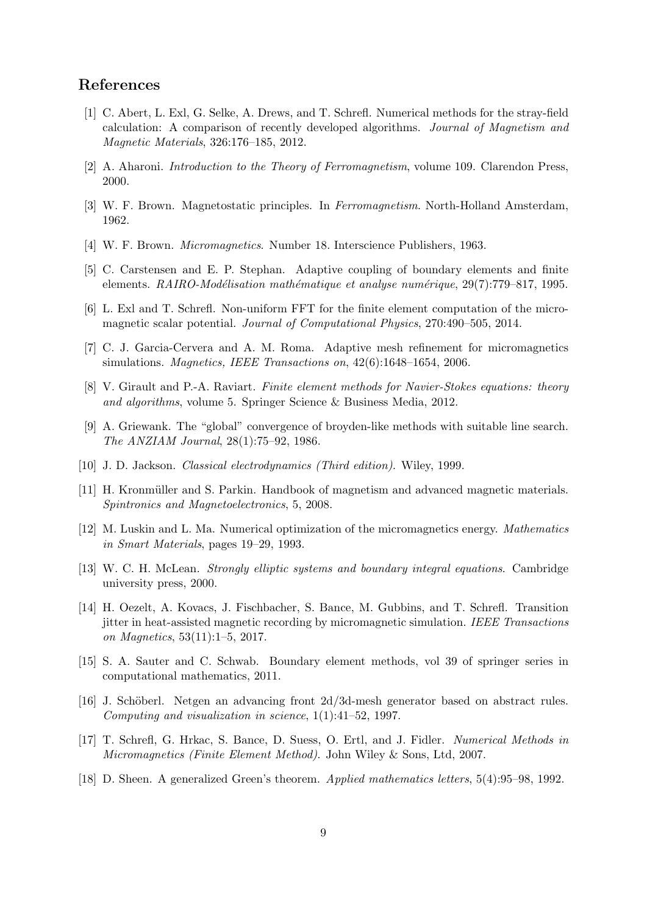## References

- <span id="page-8-1"></span>[1] C. Abert, L. Exl, G. Selke, A. Drews, and T. Schrefl. Numerical methods for the stray-field calculation: A comparison of recently developed algorithms. Journal of Magnetism and Magnetic Materials, 326:176–185, 2012.
- <span id="page-8-14"></span>[2] A. Aharoni. Introduction to the Theory of Ferromagnetism, volume 109. Clarendon Press, 2000.
- <span id="page-8-16"></span>[3] W. F. Brown. Magnetostatic principles. In Ferromagnetism. North-Holland Amsterdam, 1962.
- <span id="page-8-0"></span>[4] W. F. Brown. Micromagnetics. Number 18. Interscience Publishers, 1963.
- <span id="page-8-10"></span>[5] C. Carstensen and E. P. Stephan. Adaptive coupling of boundary elements and finite elements.  $RAIRO-Mod\'elication mathématique et analyse num\'erique, 29(7):779-817, 1995.$
- <span id="page-8-3"></span>[6] L. Exl and T. Schrefl. Non-uniform FFT for the finite element computation of the micromagnetic scalar potential. Journal of Computational Physics, 270:490–505, 2014.
- <span id="page-8-11"></span>[7] C. J. Garcia-Cervera and A. M. Roma. Adaptive mesh refinement for micromagnetics simulations. *Magnetics*, IEEE Transactions on, 42(6):1648–1654, 2006.
- <span id="page-8-9"></span>[8] V. Girault and P.-A. Raviart. Finite element methods for Navier-Stokes equations: theory and algorithms, volume 5. Springer Science & Business Media, 2012.
- <span id="page-8-4"></span>[9] A. Griewank. The "global" convergence of broyden-like methods with suitable line search. The ANZIAM Journal, 28(1):75–92, 1986.
- <span id="page-8-15"></span>[10] J. D. Jackson. *Classical electrodynamics (Third edition)*. Wiley, 1999.
- <span id="page-8-2"></span>[11] H. Kronmüller and S. Parkin. Handbook of magnetism and advanced magnetic materials. Spintronics and Magnetoelectronics, 5, 2008.
- <span id="page-8-6"></span>[12] M. Luskin and L. Ma. Numerical optimization of the micromagnetics energy. Mathematics in Smart Materials, pages 19–29, 1993.
- <span id="page-8-7"></span>[13] W. C. H. McLean. Strongly elliptic systems and boundary integral equations. Cambridge university press, 2000.
- <span id="page-8-5"></span>[14] H. Oezelt, A. Kovacs, J. Fischbacher, S. Bance, M. Gubbins, and T. Schrefl. Transition jitter in heat-assisted magnetic recording by micromagnetic simulation. IEEE Transactions on Magnetics, 53(11):1–5, 2017.
- <span id="page-8-8"></span>[15] S. A. Sauter and C. Schwab. Boundary element methods, vol 39 of springer series in computational mathematics, 2011.
- <span id="page-8-13"></span>[16] J. Schöberl. Netgen an advancing front  $2d/3d$ -mesh generator based on abstract rules. Computing and visualization in science, 1(1):41–52, 1997.
- <span id="page-8-12"></span>[17] T. Schrefl, G. Hrkac, S. Bance, D. Suess, O. Ertl, and J. Fidler. Numerical Methods in Micromagnetics (Finite Element Method). John Wiley & Sons, Ltd, 2007.
- <span id="page-8-17"></span>[18] D. Sheen. A generalized Green's theorem. Applied mathematics letters, 5(4):95–98, 1992.